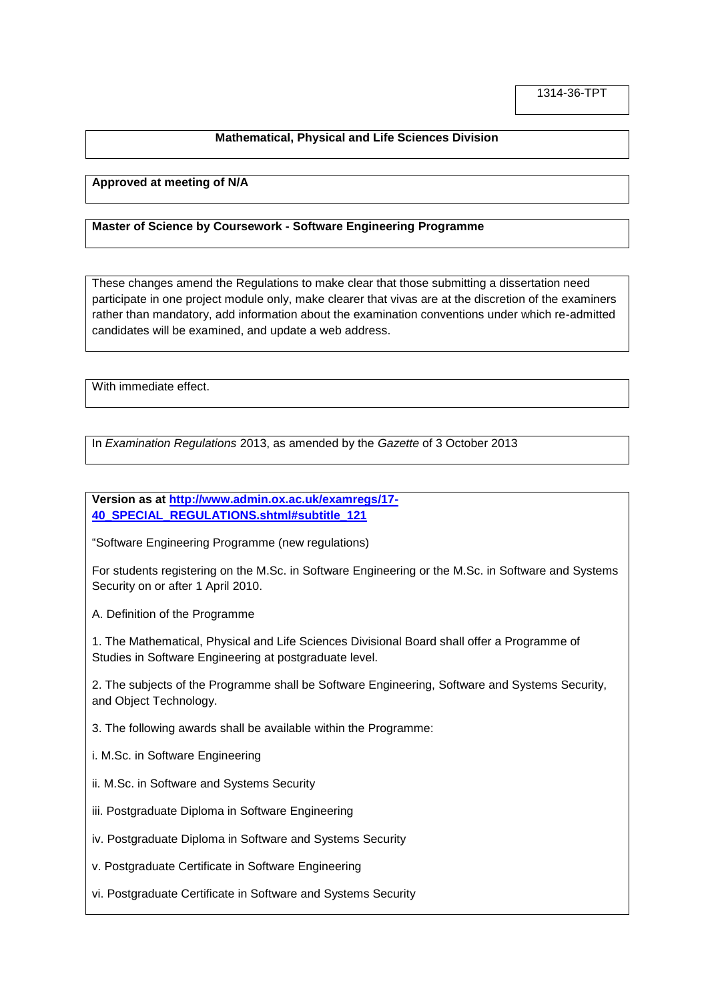## **Mathematical, Physical and Life Sciences Division**

## **Approved at meeting of N/A**

## **Master of Science by Coursework - Software Engineering Programme**

These changes amend the Regulations to make clear that those submitting a dissertation need participate in one project module only, make clearer that vivas are at the discretion of the examiners rather than mandatory, add information about the examination conventions under which re-admitted candidates will be examined, and update a web address.

With immediate effect.

In *Examination Regulations* 2013, as amended by the *Gazette* of 3 October 2013

**Version as at [http://www.admin.ox.ac.uk/examregs/17-](http://www.admin.ox.ac.uk/examregs/17-40_SPECIAL_REGULATIONS.shtml#subtitle_121) [40\\_SPECIAL\\_REGULATIONS.shtml#subtitle\\_121](http://www.admin.ox.ac.uk/examregs/17-40_SPECIAL_REGULATIONS.shtml#subtitle_121)**

"Software Engineering Programme (new regulations)

For students registering on the M.Sc. in Software Engineering or the M.Sc. in Software and Systems Security on or after 1 April 2010.

A. Definition of the Programme

1. The Mathematical, Physical and Life Sciences Divisional Board shall offer a Programme of Studies in Software Engineering at postgraduate level.

2. The subjects of the Programme shall be Software Engineering, Software and Systems Security, and Object Technology.

3. The following awards shall be available within the Programme:

i. M.Sc. in Software Engineering

ii. M.Sc. in Software and Systems Security

iii. Postgraduate Diploma in Software Engineering

iv. Postgraduate Diploma in Software and Systems Security

v. Postgraduate Certificate in Software Engineering

vi. Postgraduate Certificate in Software and Systems Security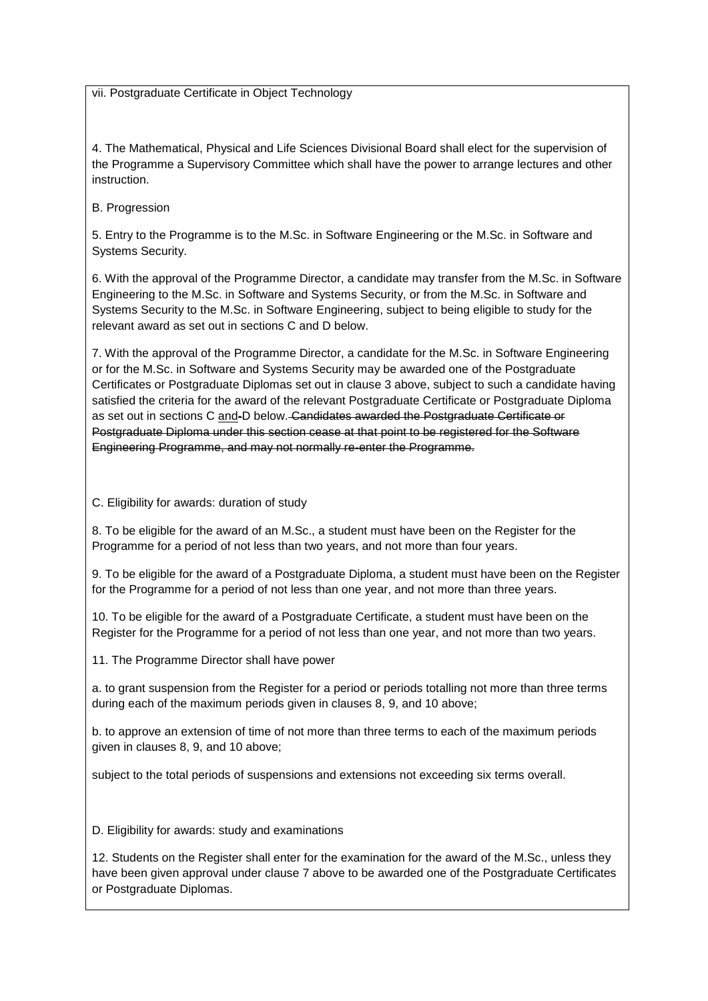vii. Postgraduate Certificate in Object Technology

4. The Mathematical, Physical and Life Sciences Divisional Board shall elect for the supervision of the Programme a Supervisory Committee which shall have the power to arrange lectures and other instruction.

B. Progression

5. Entry to the Programme is to the M.Sc. in Software Engineering or the M.Sc. in Software and Systems Security.

6. With the approval of the Programme Director, a candidate may transfer from the M.Sc. in Software Engineering to the M.Sc. in Software and Systems Security, or from the M.Sc. in Software and Systems Security to the M.Sc. in Software Engineering, subject to being eligible to study for the relevant award as set out in sections C and D below.

7. With the approval of the Programme Director, a candidate for the M.Sc. in Software Engineering or for the M.Sc. in Software and Systems Security may be awarded one of the Postgraduate Certificates or Postgraduate Diplomas set out in clause 3 above, subject to such a candidate having satisfied the criteria for the award of the relevant Postgraduate Certificate or Postgraduate Diploma as set out in sections C and-D below. Candidates awarded the Postgraduate Certificate or Postgraduate Diploma under this section cease at that point to be registered for the Software Engineering Programme, and may not normally re-enter the Programme.

C. Eligibility for awards: duration of study

8. To be eligible for the award of an M.Sc., a student must have been on the Register for the Programme for a period of not less than two years, and not more than four years.

9. To be eligible for the award of a Postgraduate Diploma, a student must have been on the Register for the Programme for a period of not less than one year, and not more than three years.

10. To be eligible for the award of a Postgraduate Certificate, a student must have been on the Register for the Programme for a period of not less than one year, and not more than two years.

11. The Programme Director shall have power

a. to grant suspension from the Register for a period or periods totalling not more than three terms during each of the maximum periods given in clauses 8, 9, and 10 above;

b. to approve an extension of time of not more than three terms to each of the maximum periods given in clauses 8, 9, and 10 above;

subject to the total periods of suspensions and extensions not exceeding six terms overall.

D. Eligibility for awards: study and examinations

12. Students on the Register shall enter for the examination for the award of the M.Sc., unless they have been given approval under clause 7 above to be awarded one of the Postgraduate Certificates or Postgraduate Diplomas.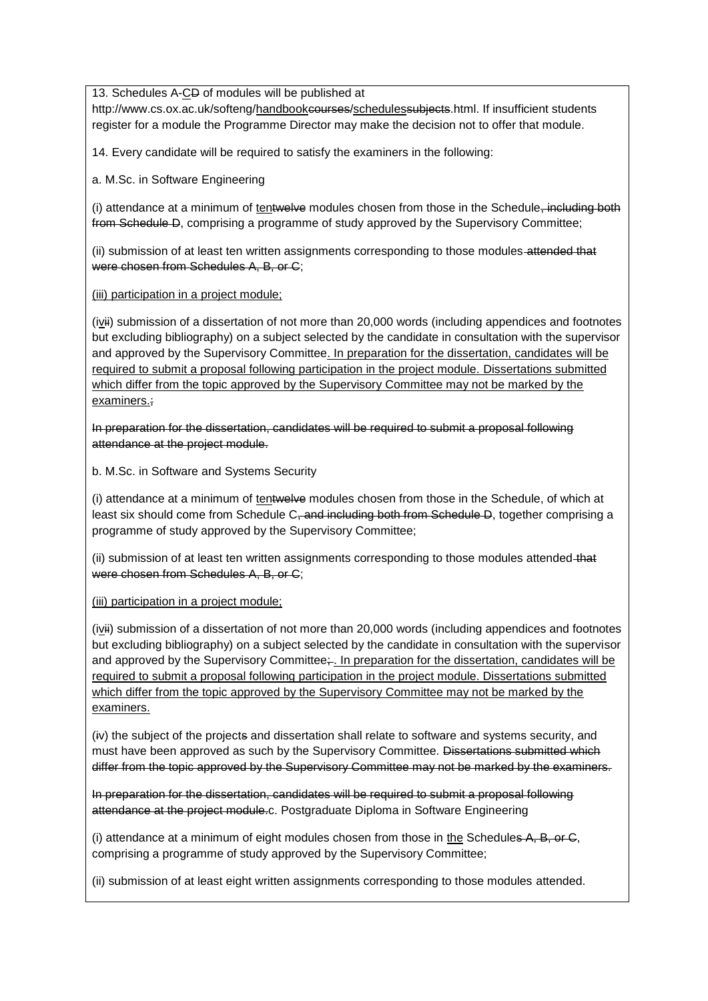13. Schedules A-CD of modules will be published at

http://www.cs.ox.ac.uk/softeng/handbookeourses/schedulessubjects.html. If insufficient students register for a module the Programme Director may make the decision not to offer that module.

14. Every candidate will be required to satisfy the examiners in the following:

a. M.Sc. in Software Engineering

(i) attendance at a minimum of tentwelve modules chosen from those in the Schedule, including both from Schedule D, comprising a programme of study approved by the Supervisory Committee;

(ii) submission of at least ten written assignments corresponding to those modules-attended that were chosen from Schedules A, B, or C;

(iii) participation in a project module;

(ivii) submission of a dissertation of not more than 20,000 words (including appendices and footnotes but excluding bibliography) on a subject selected by the candidate in consultation with the supervisor and approved by the Supervisory Committee. In preparation for the dissertation, candidates will be required to submit a proposal following participation in the project module. Dissertations submitted which differ from the topic approved by the Supervisory Committee may not be marked by the examiners.;

In preparation for the dissertation, candidates will be required to submit a proposal following attendance at the project module.

b. M.Sc. in Software and Systems Security

(i) attendance at a minimum of tentwelve modules chosen from those in the Schedule, of which at least six should come from Schedule C<del>, and including both from Schedule D</del>, together comprising a programme of study approved by the Supervisory Committee;

(ii) submission of at least ten written assignments corresponding to those modules attended-that were chosen from Schedules A, B, or C;

(iii) participation in a project module;

(ivii) submission of a dissertation of not more than 20,000 words (including appendices and footnotes but excluding bibliography) on a subject selected by the candidate in consultation with the supervisor and approved by the Supervisory Committee;- In preparation for the dissertation, candidates will be required to submit a proposal following participation in the project module. Dissertations submitted which differ from the topic approved by the Supervisory Committee may not be marked by the examiners.

(iv) the subject of the projects and dissertation shall relate to software and systems security, and must have been approved as such by the Supervisory Committee. Dissertations submitted which differ from the topic approved by the Supervisory Committee may not be marked by the examiners.

In preparation for the dissertation, candidates will be required to submit a proposal following attendance at the project module.c. Postgraduate Diploma in Software Engineering

(i) attendance at a minimum of eight modules chosen from those in the Schedules  $A$ ,  $B$ , or  $C$ , comprising a programme of study approved by the Supervisory Committee;

(ii) submission of at least eight written assignments corresponding to those modules attended.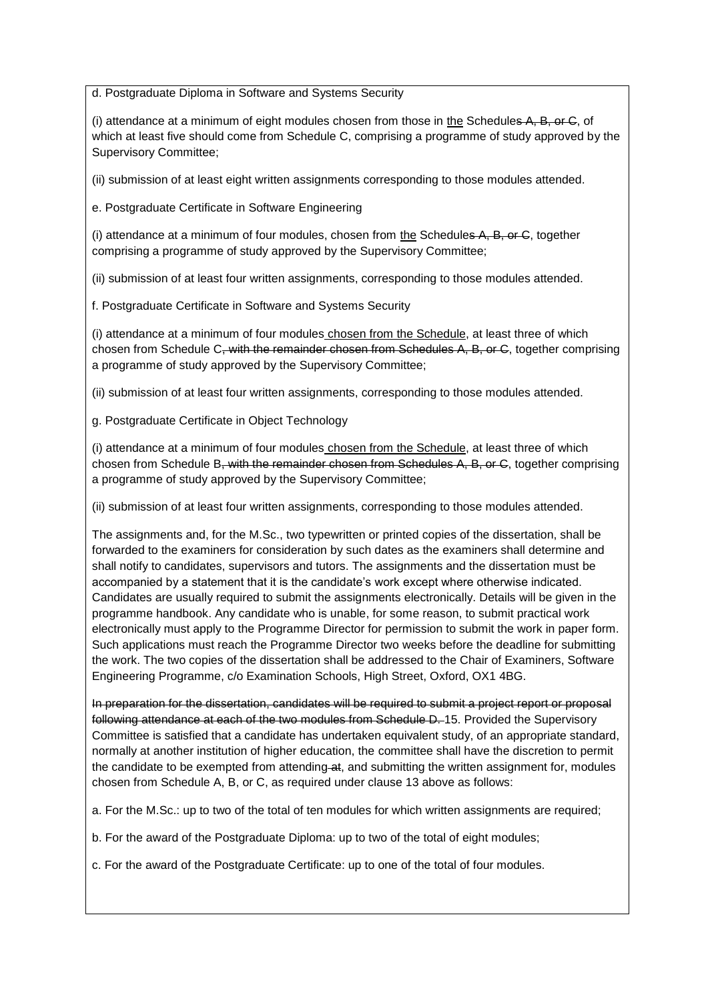d. Postgraduate Diploma in Software and Systems Security

(i) attendance at a minimum of eight modules chosen from those in the Schedules  $A$ ,  $B$ , or  $C$ , of which at least five should come from Schedule C, comprising a programme of study approved by the Supervisory Committee;

(ii) submission of at least eight written assignments corresponding to those modules attended.

e. Postgraduate Certificate in Software Engineering

(i) attendance at a minimum of four modules, chosen from the Schedules  $A$ ,  $B$ , or  $C$ , together comprising a programme of study approved by the Supervisory Committee;

(ii) submission of at least four written assignments, corresponding to those modules attended.

f. Postgraduate Certificate in Software and Systems Security

(i) attendance at a minimum of four modules chosen from the Schedule, at least three of which chosen from Schedule C<del>, with the remainder chosen from Schedules A, B, or C</del>, together comprising a programme of study approved by the Supervisory Committee;

(ii) submission of at least four written assignments, corresponding to those modules attended.

g. Postgraduate Certificate in Object Technology

(i) attendance at a minimum of four modules chosen from the Schedule, at least three of which chosen from Schedule B, with the remainder chosen from Schedules A, B, or C, together comprising a programme of study approved by the Supervisory Committee;

(ii) submission of at least four written assignments, corresponding to those modules attended.

The assignments and, for the M.Sc., two typewritten or printed copies of the dissertation, shall be forwarded to the examiners for consideration by such dates as the examiners shall determine and shall notify to candidates, supervisors and tutors. The assignments and the dissertation must be accompanied by a statement that it is the candidate's work except where otherwise indicated. Candidates are usually required to submit the assignments electronically. Details will be given in the programme handbook. Any candidate who is unable, for some reason, to submit practical work electronically must apply to the Programme Director for permission to submit the work in paper form. Such applications must reach the Programme Director two weeks before the deadline for submitting the work. The two copies of the dissertation shall be addressed to the Chair of Examiners, Software Engineering Programme, c/o Examination Schools, High Street, Oxford, OX1 4BG.

In preparation for the dissertation, candidates will be required to submit a project report or proposal following attendance at each of the two modules from Schedule D. 15. Provided the Supervisory Committee is satisfied that a candidate has undertaken equivalent study, of an appropriate standard, normally at another institution of higher education, the committee shall have the discretion to permit the candidate to be exempted from attending at, and submitting the written assignment for, modules chosen from Schedule A, B, or C, as required under clause 13 above as follows:

a. For the M.Sc.: up to two of the total of ten modules for which written assignments are required;

b. For the award of the Postgraduate Diploma: up to two of the total of eight modules;

c. For the award of the Postgraduate Certificate: up to one of the total of four modules.